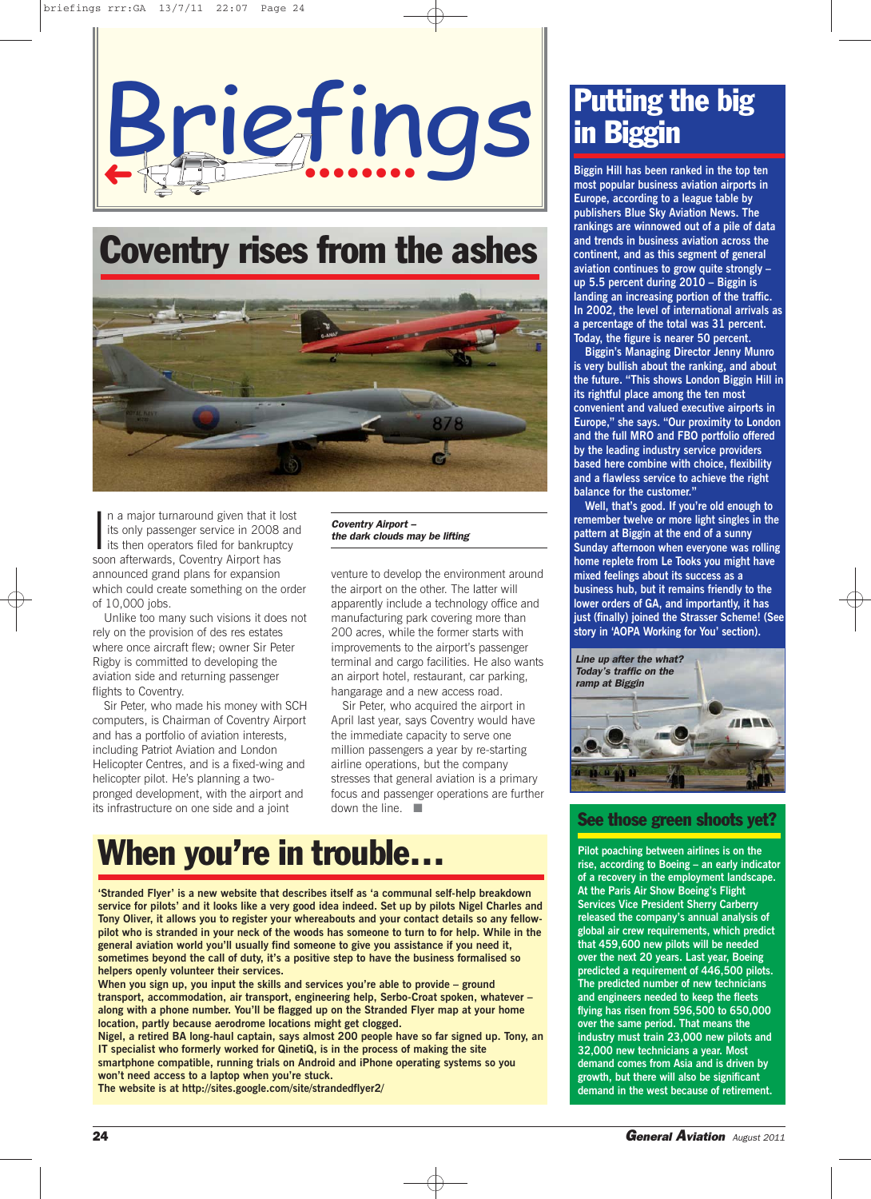



In a major turnaround given that it its only passenger service in 2008<br>its then operators filed for bankrupt<br>soon afterwards, Coventry Airport has n a major turnaround given that it lost its only passenger service in 2008 and its then operators filed for bankruptcy announced grand plans for expansion which could create something on the order of 10,000 jobs.

Unlike too many such visions it does not rely on the provision of des res estates where once aircraft flew; owner Sir Peter Rigby is committed to developing the aviation side and returning passenger flights to Coventry.

Sir Peter, who made his money with SCH computers, is Chairman of Coventry Airport and has a portfolio of aviation interests, including Patriot Aviation and London Helicopter Centres, and is a fixed-wing and helicopter pilot. He's planning a twopronged development, with the airport and its infrastructure on one side and a joint

Coventry Airport – the dark clouds may be lifting

venture to develop the environment around the airport on the other. The latter will apparently include a technology office and manufacturing park covering more than 200 acres, while the former starts with improvements to the airport's passenger terminal and cargo facilities. He also wants an airport hotel, restaurant, car parking, hangarage and a new access road.

Sir Peter, who acquired the airport in April last year, says Coventry would have the immediate capacity to serve one million passengers a year by re-starting airline operations, but the company stresses that general aviation is a primary focus and passenger operations are further down the line.  $\square$ 

# When you're in trouble…

**'Stranded Flyer' is a new website that describes itself as 'a communal self-help breakdown service for pilots' and it looks like a very good idea indeed. Set up by pilots Nigel Charles and Tony Oliver, it allows you to register your whereabouts and your contact details so any fellowpilot who is stranded in your neck of the woods has someone to turn to for help. While in the general aviation world you'll usually find someone to give you assistance if you need it, sometimes beyond the call of duty, it's a positive step to have the business formalised so helpers openly volunteer their services.**

**When you sign up, you input the skills and services you're able to provide – ground transport, accommodation, air transport, engineering help, Serbo-Croat spoken, whatever – along with a phone number. You'll be flagged up on the Stranded Flyer map at your home location, partly because aerodrome locations might get clogged.**

**Nigel, a retired BA long-haul captain, says almost 200 people have so far signed up. Tony, an IT specialist who formerly worked for QinetiQ, is in the process of making the site smartphone compatible, running trials on Android and iPhone operating systems so you won't need access to a laptop when you're stuck. The website is at http://sites.google.com/site/strandedflyer2/**

Putting the big in Biggin

**Biggin Hill has been ranked in the top ten most popular business aviation airports in Europe, according to a league table by publishers Blue Sky Aviation News. The rankings are winnowed out of a pile of data and trends in business aviation across the continent, and as this segment of general aviation continues to grow quite strongly – up 5.5 percent during 2010 – Biggin is landing an increasing portion of the traffic. In 2002, the level of international arrivals as a percentage of the total was 31 percent. Today, the figure is nearer 50 percent.**

**Biggin's Managing Director Jenny Munro is very bullish about the ranking, and about the future. "This shows London Biggin Hill in its rightful place among the ten most convenient and valued executive airports in Europe," she says. "Our proximity to London and the full MRO and FBO portfolio offered by the leading industry service providers based here combine with choice, flexibility and a flawless service to achieve the right balance for the customer."**

**Well, that's good. If you're old enough to remember twelve or more light singles in the pattern at Biggin at the end of a sunny Sunday afternoon when everyone was rolling home replete from Le Tooks you might have mixed feelings about its success as a business hub, but it remains friendly to the lower orders of GA, and importantly, it has just (finally) joined the Strasser Scheme! (See story in 'AOPA Working for You' section).**



### See those green shoots yet?

**Pilot poaching between airlines is on the rise, according to Boeing – an early indicator of a recovery in the employment landscape. At the Paris Air Show Boeing's Flight Services Vice President Sherry Carberry released the company's annual analysis of global air crew requirements, which predict that 459,600 new pilots will be needed over the next 20 years. Last year, Boeing predicted a requirement of 446,500 pilots. The predicted number of new technicians and engineers needed to keep the fleets flying has risen from 596,500 to 650,000 over the same period. That means the industry must train 23,000 new pilots and 32,000 new technicians a year. Most demand comes from Asia and is driven by growth, but there will also be significant demand in the west because of retirement.**